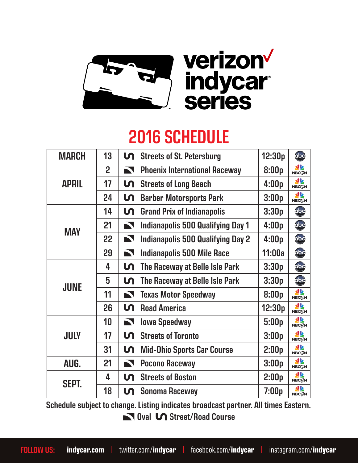

## 2016 SCHEDULE

| <b>MARCH</b> | 13             | ທ                     | <b>Streets of St. Petersburg</b>         | 12:30p | abc                        |
|--------------|----------------|-----------------------|------------------------------------------|--------|----------------------------|
| <b>APRIL</b> | $\overline{2}$ | $\blacktriangleright$ | <b>Phoenix International Raceway</b>     | 8:00p  | W<br><b>NBCSN</b>          |
|              | 17             | տ                     | <b>Streets of Long Beach</b>             | 4:00p  | <b>SP</b><br><b>NBCSN</b>  |
|              | 24             | տ                     | <b>Barber Motorsports Park</b>           | 3:00p  | <b>SV2</b><br><b>NBCSN</b> |
| <b>MAY</b>   | 14             | տ                     | <b>Grand Prix of Indianapolis</b>        | 3:30p  | abc                        |
|              | 21             | $\blacktriangleright$ | <b>Indianapolis 500 Qualifying Day 1</b> | 4:00p  | abc                        |
|              | 22             | $\blacktriangleright$ | <b>Indianapolis 500 Qualifying Day 2</b> | 4:00p  | obc                        |
|              | 29             | $\blacksquare$        | <b>Indianapolis 500 Mile Race</b>        | 11:00a | obc                        |
| <b>JUNE</b>  | 4              | տ                     | The Raceway at Belle Isle Park           | 3:30p  | obc                        |
|              | 5              | <u>ហ</u>              | The Raceway at Belle Isle Park           | 3:30p  | abc                        |
|              | 11             | $\blacktriangleright$ | <b>Texas Motor Speedway</b>              | 8:00p  | <b>SP</b><br><b>NBCSN</b>  |
|              | 26             | տ                     | <b>Road America</b>                      | 12:30p | <b>SP</b><br><b>NBCSN</b>  |
| <b>JULY</b>  | 10             | $\blacksquare$        | <b>Iowa Speedway</b>                     | 5:00p  | <b>SP</b><br><b>NBCSN</b>  |
|              | 17             | <u>ហ</u>              | <b>Streets of Toronto</b>                | 3:00p  | <b>SV2</b><br><b>NBCSN</b> |
|              | 31             | տ                     | <b>Mid-Ohio Sports Car Course</b>        | 2:00p  | <b>SV2</b><br><b>NBCSN</b> |
| AUG.         | 21             | $\blacktriangleright$ | <b>Pocono Raceway</b>                    | 3:00p  | <u>als</u><br><b>NBCSN</b> |
| <b>SEPT.</b> | 4              | <u>ທ</u>              | <b>Streets of Boston</b>                 | 2:00p  | <u>ale</u><br><b>NBCSN</b> |
|              | 18             | տ                     | <b>Sonoma Raceway</b>                    | 7:00p  | <u>N2</u><br><b>NBCSN</b>  |

 Oval Street/Road Course Schedule subject to change. Listing indicates broadcast partner. All times Eastern.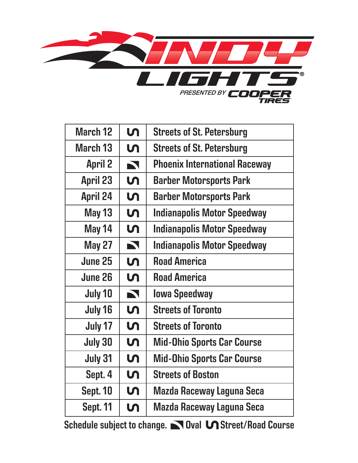

| <b>March 12</b> | <u>ហ</u>              | <b>Streets of St. Petersburg</b>     |  |
|-----------------|-----------------------|--------------------------------------|--|
| March 13        | <u>ហ</u>              | <b>Streets of St. Petersburg</b>     |  |
| <b>April 2</b>  | $\blacktriangleright$ | <b>Phoenix International Raceway</b> |  |
| <b>April 23</b> | <b>5</b>              | <b>Barber Motorsports Park</b>       |  |
| <b>April 24</b> | <u>ហ</u>              | <b>Barber Motorsports Park</b>       |  |
| <b>May 13</b>   | <u>ហ</u>              | <b>Indianapolis Motor Speedway</b>   |  |
| May 14          | տ                     | <b>Indianapolis Motor Speedway</b>   |  |
| <b>May 27</b>   | $\blacksquare$        | Indianapolis Motor Speedway          |  |
| June 25         | <u>ហ</u>              | <b>Road America</b>                  |  |
| June 26         | <u>ហ</u>              | <b>Road America</b>                  |  |
| July 10         | $\blacktriangleright$ | <b>Iowa Speedway</b>                 |  |
| July 16         | տ                     | <b>Streets of Toronto</b>            |  |
| July 17         | <u>ហ</u>              | <b>Streets of Toronto</b>            |  |
| <b>July 30</b>  | <b>In</b>             | <b>Mid-Ohio Sports Car Course</b>    |  |
| July 31         | <u>ហ</u>              | <b>Mid-Ohio Sports Car Course</b>    |  |
| Sept. 4         | <u>ហ</u>              | <b>Streets of Boston</b>             |  |
| <b>Sept. 10</b> | տ                     | Mazda Raceway Laguna Seca            |  |
| <b>Sept. 11</b> | ທ                     | <b>Mazda Raceway Laguna Seca</b>     |  |

Schedule subject to change. Noval M Street/Road Course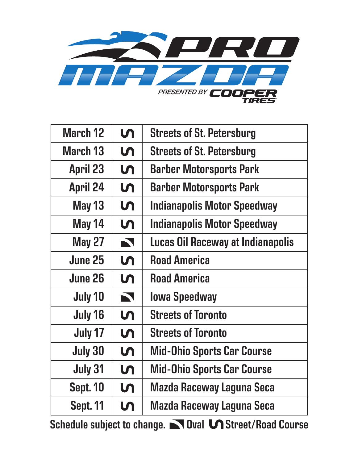

| <b>March 12</b> | $\mathsf{M}$          | <b>Streets of St. Petersburg</b>   |  |
|-----------------|-----------------------|------------------------------------|--|
| <b>March 13</b> | <u>ហ</u>              | <b>Streets of St. Petersburg</b>   |  |
| <b>April 23</b> | <b>In</b>             | <b>Barber Motorsports Park</b>     |  |
| <b>April 24</b> | <b>5</b>              | <b>Barber Motorsports Park</b>     |  |
| <b>May 13</b>   | <b>In</b>             | <b>Indianapolis Motor Speedway</b> |  |
| May 14          | <b>In</b>             | <b>Indianapolis Motor Speedway</b> |  |
| <b>May 27</b>   | $\blacktriangleright$ | Lucas Oil Raceway at Indianapolis  |  |
| June 25         | <u>ហ</u>              | <b>Road America</b>                |  |
| <b>June 26</b>  | <b>5</b>              | <b>Road America</b>                |  |
| July 10         | $\blacksquare$        | <b>Iowa Speedway</b>               |  |
| July 16         | $\mathsf{M}$          | <b>Streets of Toronto</b>          |  |
| July 17         | <u>ហ</u>              | <b>Streets of Toronto</b>          |  |
| <b>July 30</b>  | <b>5</b>              | <b>Mid-Ohio Sports Car Course</b>  |  |
| July 31         | <b>5</b>              | <b>Mid-Ohio Sports Car Course</b>  |  |
| <b>Sept. 10</b> | $\mathsf{M}$          | <b>Mazda Raceway Laguna Seca</b>   |  |
| <b>Sept. 11</b> | <b>5</b>              | <b>Mazda Raceway Laguna Seca</b>   |  |

Schedule subject to change. Noval **Street/Road Course**